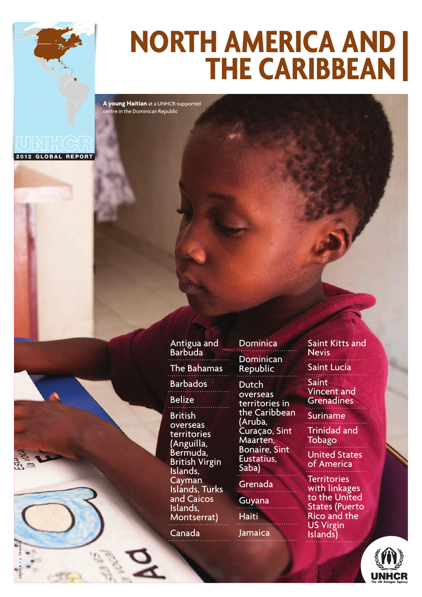

**A young Haitian** at a UNHCR-supported centre in the Dominican Republic

2012 GLOBAL REPORT

UNHCR / J. TANNER



Canada

Dominica **Dominican** Republic **Dutch** overseas territories in

the Caribbean (Aruba, Curaçao, Sint Maarten, Bonaire, Sint Eustatius, Saba)

#### Grenada

Guyana **Haiti** Jamaica Saint Kitts and **Nevis** Saint Lucia **Saint** 

Vincent and Grenadines

Suriname

Trinidad and **Tobago** 

United States of America

**Territories** with linkages to the United States (Puerto Rico and the US Virgin Islands)

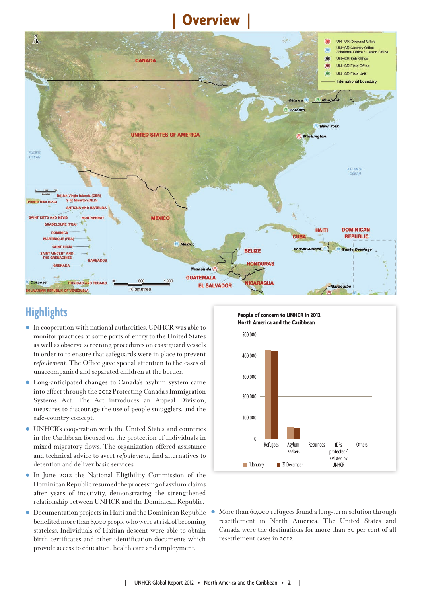# **| Overview |**



## **Highlights**

- In cooperation with national authorities, UNHCR was able to monitor practices at some ports of entry to the United States as well as observe screening procedures on coastguard vessels in order to to ensure that safeguards were in place to prevent *refoulement*. The Office gave special attention to the cases of unaccompanied and separated children at the border.
- Long-anticipated changes to Canada's asylum system came into effect through the 2012 Protecting Canada's Immigration Systems Act. The Act introduces an Appeal Division, measures to discourage the use of people smugglers, and the safe-country concept.
- UNHCR's cooperation with the United States and countries in the Caribbean focused on the protection of individuals in mixed migratory flows. The organization offered assistance and technical advice to avert *refoulement*, find alternatives to detention and deliver basic services.
- In June 2012 the National Eligibility Commission of the Dominican Republic resumed the processing of asylum claims after years of inactivity, demonstrating the strengthened relationship between UNHCR and the Dominican Republic.
- Documentation projects in Haiti and the Dominican Republic benefi ted more than 8,000 people who were at risk of becoming stateless. Individuals of Haitian descent were able to obtain birth certificates and other identification documents which provide access to education, health care and employment.



 More than 60,000 refugees found a long-term solution through resettlement in North America. The United States and Canada were the destinations for more than 80 per cent of all resettlement cases in 2012.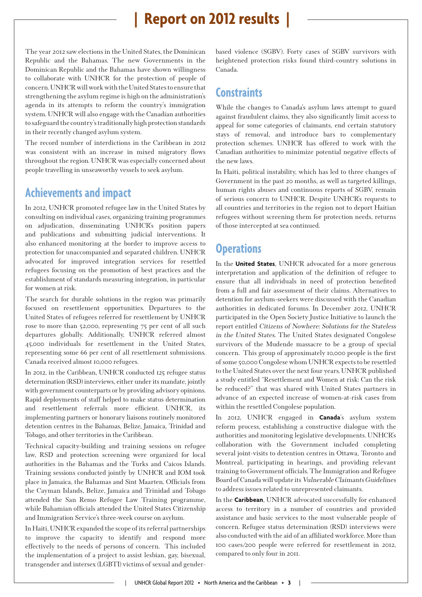## **| Report on 2012 results |**

The year 2012 saw elections in the United States, the Dominican Republic and the Bahamas. The new Governments in the Dominican Republic and the Bahamas have shown willingness to collaborate with UNHCR for the protection of people of concern. UNHCR will work with the United States to ensure that strengthening the asylum regime is high on the administration's agenda in its attempts to reform the country's immigration system. UNHCR will also engage with the Canadian authorities to safeguard the country's traditionally high protection standards in their recently changed asylum system.

The record number of interdictions in the Caribbean in 2012 was consistent with an increase in mixed migratory flows throughout the region. UNHCR was especially concerned about people travelling in unseaworthy vessels to seek asylum.

### **Achievements and impact**

In 2012, UNHCR promoted refugee law in the United States by consulting on individual cases, organizing training programmes on adjudication, disseminating UNHCR's position papers and publications and submitting judicial interventions. It also enhanced monitoring at the border to improve access to protection for unaccompanied and separated children. UNHCR advocated for improved integration services for resettled refugees focusing on the promotion of best practices and the establishment of standards measuring integration, in particular for women at risk.

The search for durable solutions in the region was primarily focused on resettlement opportunities. Departures to the United States of refugees referred for resettlement by UNHCR rose to more than 52,000, representing 75 per cent of all such departures globally. Additionally, UNHCR referred almost 45,000 individuals for resettlement in the United States, representing some 66 per cent of all resettlement submissions. Canada received almost 10,000 refugees.

In 2012, in the Caribbean, UNHCR conducted 125 refugee status determination (RSD) interviews, either under its mandate, jointly with government counterparts or by providing advisory opinions. Rapid deployments of staff helped to make status determination and resettlement referrals more efficient. UNHCR, its implementing partners or honorary liaisons routinely monitored detention centres in the Bahamas, Belize, Jamaica, Trinidad and Tobago, and other territories in the Caribbean.

Technical capacity-building and training sessions on refugee law, RSD and protection screening were organized for local authorities in the Bahamas and the Turks and Caicos Islands. Training sessions conducted jointly by UNHCR and IOM took place in Jamaica, the Bahamas and Sint Maarten. Officials from the Cayman Islands, Belize, Jamaica and Trinidad and Tobago attended the San Remo Refugee Law Training programme, while Bahamian officials attended the United States Citizenship and Immigration Service's three-week course on asylum.

In Haiti, UNHCR expanded the scope of its referral partnerships to improve the capacity to identify and respond more effectively to the needs of persons of concern. This included the implementation of a project to assist lesbian, gay, bisexual, transgender and intersex (LGBTI) victims of sexual and genderbased violence (SGBV). Forty cases of SGBV survivors with heightened protection risks found third-country solutions in Canada.

## **Constraints**

While the changes to Canada's asylum laws attempt to guard against fraudulent claims, they also significantly limit access to appeal for some categories of claimants, end certain statutory stays of removal, and introduce bars to complementary protection schemes. UNHCR has offered to work with the Canadian authorities to minimize potential negative effects of the new laws.

In Haiti, political instability, which has led to three changes of Government in the past 20 months, as well as targeted killings, human rights abuses and continuous reports of SGBV, remain of serious concern to UNHCR. Despite UNHCR's requests to all countries and territories in the region not to deport Haitian refugees without screening them for protection needs, returns of those intercepted at sea continued.

## **Operations**

In the **United States**, UNHCR advocated for a more generous interpretation and application of the definition of refugee to ensure that all individuals in need of protection benefited from a full and fair assessment of their claims. Alternatives to detention for asylum-seekers were discussed with the Canadian authorities in dedicated forums. In December 2012, UNHCR participated in the Open Society Justice Initiative to launch the report entitled Citizens of Nowhere: Solutions for the Stateless in the United States. The United States designated Congolese survivors of the Mudende massacre to be a group of special concern. This group of approximately 10,000 people is the first of some 50,000 Congolese whom UNHCR expects to be resettled to the United States over the next four years. UNHCR published a study entitled "Resettlement and Women at risk: Can the risk be reduced?" that was shared with United States partners in advance of an expected increase of women-at-risk cases from within the resettled Congolese population.

In 2012, UNHCR engaged in **Canada**'s asylum system reform process, establishing a constructive dialogue with the authorities and monitoring legislative developments. UNHCR's collaboration with the Government included completing several joint-visits to detention centres in Ottawa, Toronto and Montreal, participating in hearings, and providing relevant training to Government officials. The Immigration and Refugee Board of Canada will update its Vulnerable Claimants Guidelines to address issues related to unrepresented claimants.

In the **Caribbean**, UNHCR advocated successfully for enhanced access to territory in a number of countries and provided assistance and basic services to the most vulnerable people of concern. Refugee status determination (RSD) interviews were also conducted with the aid of an affiliated workforce. More than 100 cases/200 people were referred for resettlement in 2012, compared to only four in 2011.